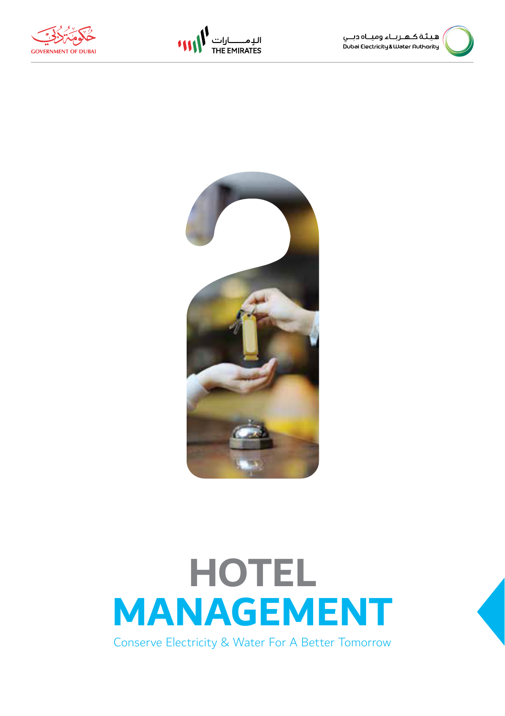







### **HOTEL MANAGEMENT** Conserve Electricity & Water For A Better Tomorrow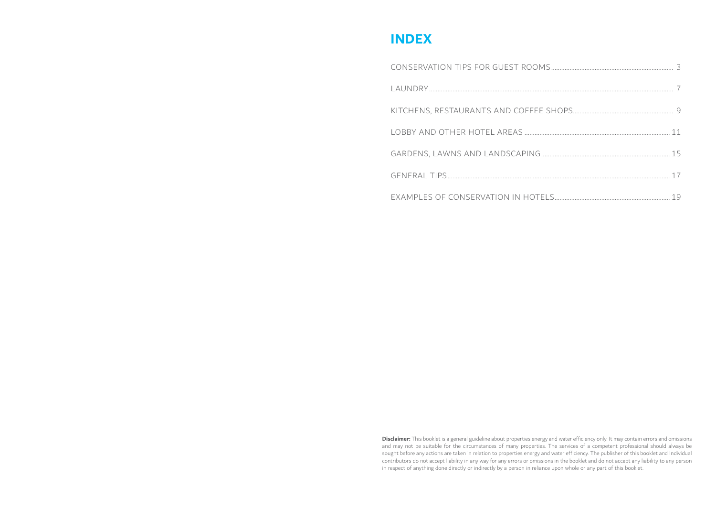### **INDEX**

**Disclaimer:** This booklet is a general guideline about properties energy and water efficiency only. It may contain errors and omissions and may not be suitable for the circumstances of many properties. The services of a competent professional should always be sought before any actions are taken in relation to properties energy and water efficiency. The publisher of this booklet and Individual contributors do not accept liability in any way for any errors or omissions in the booklet and do not accept any liability to any person in respect of anything done directly or indirectly by a person in reliance upon whole or any part of this booklet.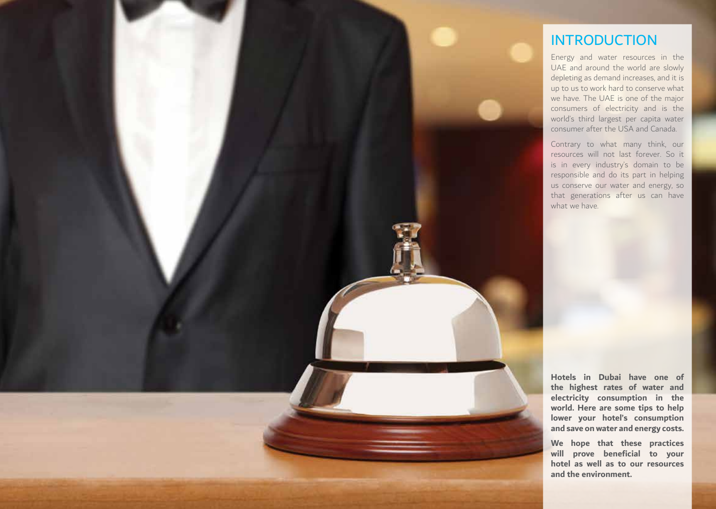![](_page_2_Picture_0.jpeg)

### INTRODUCTION

Energy and water resources in the UAE and around the world are slowly depleting as demand increases, and it is up to us to work hard to conserve what we have. The UAE is one of the major consumers of electricity and is the world's third largest per capita water consumer after the USA and Canada.

Contrary to what many think, our resources will not last forever. So it is in every industry's domain to be responsible and do its part in helping us conserve our water and energy, so that generations after us can have what we have

**Hotels in Dubai have one of the highest rates of water and electricity consumption in the world. Here are some tips to help lower your hotel's consumption and save on water and energy costs.**

**We hope that these practices will prove beneficial to your hotel as well as to our resources and the environment.**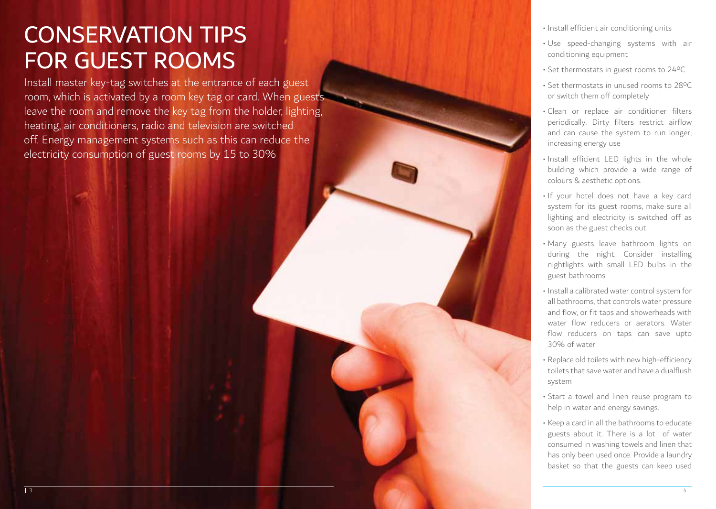# CONSERVATION TIPS FOR GUEST ROOMS

Install master key-tag switches at the entrance of each guest room, which is activated by a room key tag or card. When guests leave the room and remove the key tag from the holder, lighting, heating, air conditioners, radio and television are switched off. Energy management systems such as this can reduce the electricity consumption of guest rooms by 15 to 30%

- Install efficient air conditioning units
- Use speed-changing systems with air conditioning equipment
- Set thermostats in guest rooms to 24ºC
- Set thermostats in unused rooms to 28ºC or switch them off completely
- Clean or replace air conditioner filters periodically. Dirty filters restrict airflow and can cause the system to run longer, increasing energy use
- Install efficient LED lights in the whole building which provide a wide range of colours & aesthetic options.
- If your hotel does not have a key card system for its guest rooms, make sure all lighting and electricity is switched off as soon as the guest checks out
- Many guests leave bathroom lights on during the night. Consider installing nightlights with small LED bulbs in the guest bathrooms
- Install a calibrated water control system for all bathrooms, that controls water pressure and flow, or fit taps and showerheads with water flow reducers or aerators. Water flow reducers on taps can save upto 30% of water
- Replace old toilets with new high-efficiency toilets that save water and have a dualflush system
- Start a towel and linen reuse program to help in water and energy savings.
- Keep a card in all the bathrooms to educate guests about it. There is a lot of water consumed in washing towels and linen that has only been used once. Provide a laundry basket so that the guests can keep used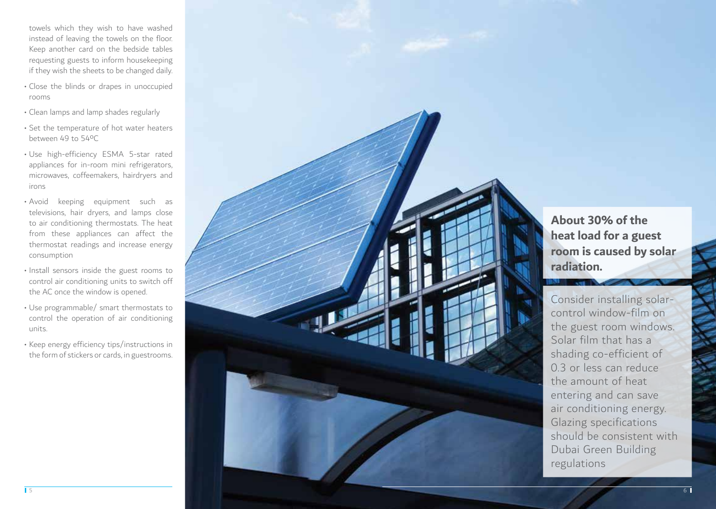towels which they wish to have washed instead of leaving the towels on the floor. Keep another card on the bedside tables requesting guests to inform housekeeping if they wish the sheets to be changed daily.

- Close the blinds or drapes in unoccupied rooms
- Clean lamps and lamp shades regularly
- Set the temperature of hot water heaters between 49 to 54ºC
- Use high-efficiency ESMA 5-star rated appliances for in-room mini refrigerators, microwaves, coffeemakers, hairdryers and irons
- Avoid keeping equipment such as televisions, hair dryers, and lamps close to air conditioning thermostats. The heat from these appliances can affect the thermostat readings and increase energy consumption
- Install sensors inside the guest rooms to control air conditioning units to switch off the AC once the window is opened.
- Use programmable/ smart thermostats to control the operation of air conditioning units.
- Keep energy efficiency tips/instructions in the form of stickers or cards, in guestrooms.

![](_page_4_Picture_9.jpeg)

**About 30% of the heat load for a guest room is caused by solar radiation.**

Consider installing solarcontrol window-film on the guest room windows. Solar film that has a shading co-efficient of 0.3 or less can reduce the amount of heat entering and can save air conditioning energy. Glazing specifications should be consistent with Dubai Green Building regulations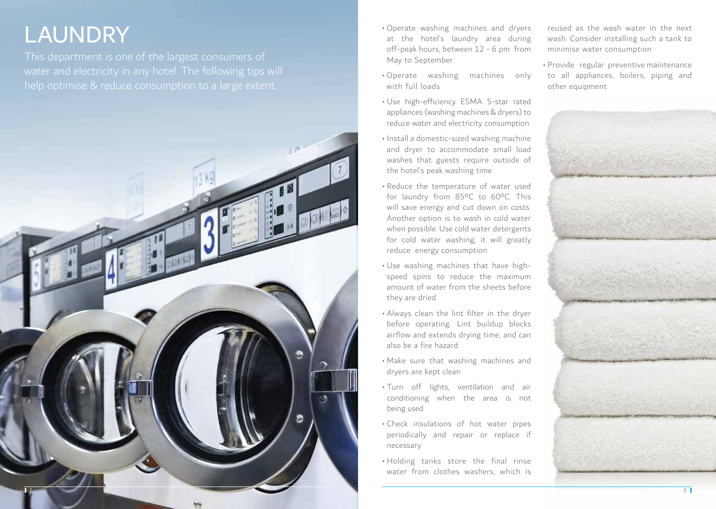### **LAUNDRY**

This department is one of the largest consumers of help optimise & reduce consumption to a large extent.

![](_page_5_Picture_2.jpeg)

- Operate washing machines and dryers at the hotel's laundry area during off-peak hours, between 12 - 6 pm from May to September
- Operate washing machines only with full loads
- Use high-efficiency ESMA 5-star rated appliances (washing machines & dryers) to reduce water and electricity consumption
- Install a domestic-sized washing machine and dryer to accommodate small load washes that guests require outside of the hotel's peak washing time
- Reduce the temperature of water used for laundry from 85ºC to 60ºC. This will save energy and cut down on costs. Another option is to wash in cold water when possible. Use cold water detergents for cold water washing, it will greatly reduce energy consumption
- Use washing machines that have highspeed spins to reduce the maximum amount of water from the sheets before they are dried
- Always clean the lint filter in the dryer before operating. Lint buildup blocks airflow and extends drying time, and can also be a fire hazard
- Make sure that washing machines and dryers are kept clean
- Turn off lights, ventilation and air conditioning when the area is not being used
- Check insulations of hot water pipes periodically and repair or replace if necessary
- Holding tanks store the final rinse water from clothes washers, which is

reused as the wash water in the next wash. Consider installing such a tank to minimise water consumption

• Provide regular preventive maintenance to all appliances, boilers, piping and other equipment

![](_page_5_Picture_16.jpeg)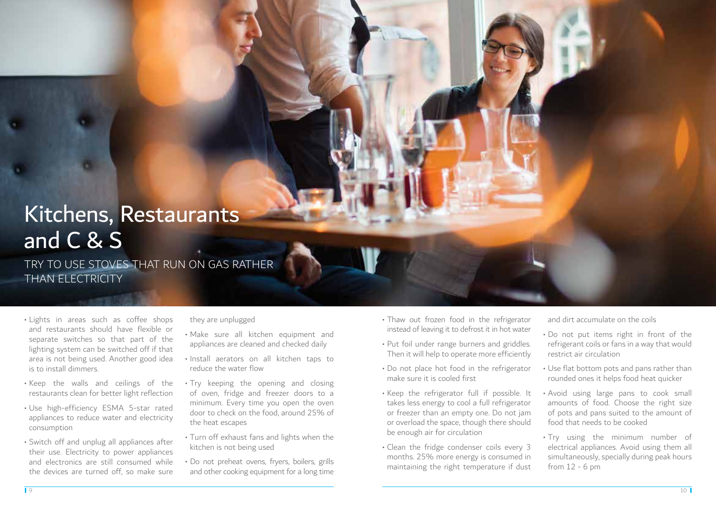# Kitchens, Restaurants and C & S

TRY TO USE STOVES THAT RUN ON GAS RATHER THAN ELECTRICITY

- Lights in areas such as coffee shops and restaurants should have flexible or separate switches so that part of the lighting system can be switched off if that area is not being used. Another good idea is to install dimmers.
- Keep the walls and ceilings of the restaurants clean for better light reflection
- Use high-efficiency ESMA 5-star rated appliances to reduce water and electricity consumption
- Switch off and unplug all appliances after their use. Electricity to power appliances and electronics are still consumed while the devices are turned off, so make sure

#### they are unplugged

- Make sure all kitchen equipment and appliances are cleaned and checked daily
- Install aerators on all kitchen taps to reduce the water flow
- Try keeping the opening and closing of oven, fridge and freezer doors to a minimum. Every time you open the oven door to check on the food, around 25% of the heat escapes
- Turn off exhaust fans and lights when the kitchen is not being used
- Do not preheat ovens, fryers, boilers, grills and other cooking equipment for a long time
- Thaw out frozen food in the refrigerator instead of leaving it to defrost it in hot water
- Put foil under range burners and griddles. Then it will help to operate more efficiently
- Do not place hot food in the refrigerator make sure it is cooled first
- Keep the refrigerator full if possible. It takes less energy to cool a full refrigerator or freezer than an empty one. Do not jam or overload the space, though there should be enough air for circulation
- Clean the fridge condenser coils every 3 months. 25% more energy is consumed in maintaining the right temperature if dust

and dirt accumulate on the coils

- Do not put items right in front of the refrigerant coils or fans in a way that would restrict air circulation
- Use flat bottom pots and pans rather than rounded ones it helps food heat quicker
- Avoid using large pans to cook small amounts of food. Choose the right size of pots and pans suited to the amount of food that needs to be cooked
- Try using the minimum number of electrical appliances. Avoid using them all simultaneously, specially during peak hours from 12 - 6 pm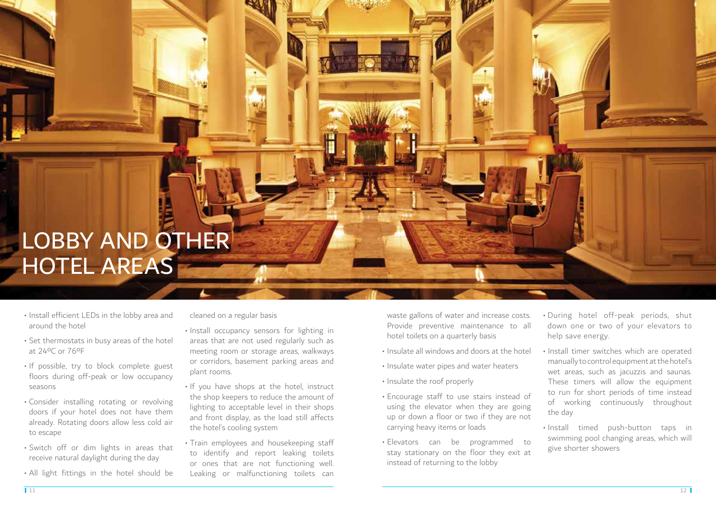# LOBBY AND OTHER HOTEL AREAS

- Install efficient LEDs in the lobby area and around the hotel
- Set thermostats in busy areas of the hotel at 24ºC or 76ºF
- If possible, try to block complete guest floors during off-peak or low occupancy seasons
- Consider installing rotating or revolving doors if your hotel does not have them already. Rotating doors allow less cold air to escape
- Switch off or dim lights in areas that receive natural daylight during the day
- All light fittings in the hotel should be

cleaned on a regular basis

- Install occupancy sensors for lighting in areas that are not used regularly such as meeting room or storage areas, walkways or corridors, basement parking areas and plant rooms.
- If you have shops at the hotel, instruct the shop keepers to reduce the amount of lighting to acceptable level in their shops and front display, as the load still affects the hotel's cooling system
- Train employees and housekeeping staff to identify and report leaking toilets or ones that are not functioning well. Leaking or malfunctioning toilets can

waste gallons of water and increase costs. Provide preventive maintenance to all hotel toilets on a quarterly basis

- Insulate all windows and doors at the hotel
- Insulate water pipes and water heaters
- Insulate the roof properly
- Encourage staff to use stairs instead of using the elevator when they are going up or down a floor or two if they are not carrying heavy items or loads
- Elevators can be programmed to stay stationary on the floor they exit at instead of returning to the lobby
- During hotel off-peak periods, shut down one or two of your elevators to help save energy.
- Install timer switches which are operated manually to control equipment at the hotel's wet areas, such as jacuzzis and saunas. These timers will allow the equipment to run for short periods of time instead of working continuously throughout the day
- Install timed push-button taps in swimming pool changing areas, which will give shorter showers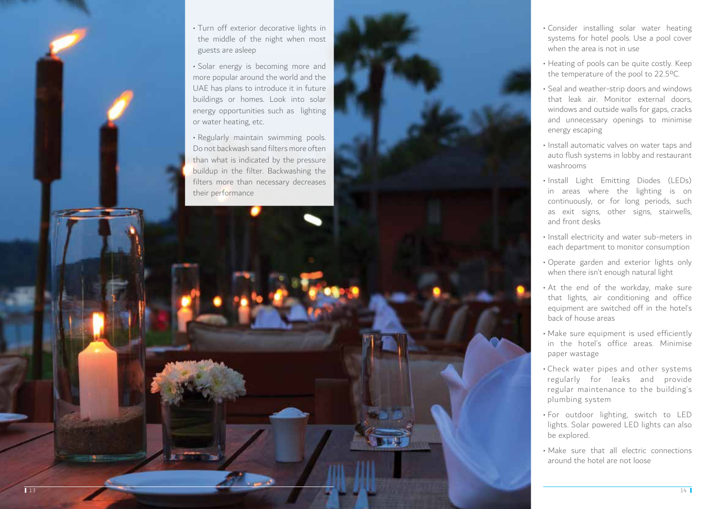![](_page_8_Picture_0.jpeg)

![](_page_8_Picture_1.jpeg)

- Consider installing solar water heating systems for hotel pools. Use a pool cover when the area is not in use
- Heating of pools can be quite costly. Keep the temperature of the pool to 22.5ºC.
- Seal and weather-strip doors and windows that leak air. Monitor external doors, windows and outside walls for gaps, cracks and unnecessary openings to minimise energy escaping
- Install automatic valves on water taps and auto flush systems in lobby and restaurant washrooms
- Install Light Emitting Diodes (LEDs) in areas where the lighting is on continuously, or for long periods, such as exit signs, other signs, stairwells, and front desks
- Install electricity and water sub-meters in each department to monitor consumption
- Operate garden and exterior lights only when there isn't enough natural light
- At the end of the workday, make sure that lights, air conditioning and office equipment are switched off in the hotel's back of house areas
- Make sure equipment is used efficiently in the hotel's office areas. Minimise paper wastage
- Check water pipes and other systems regularly for leaks and provide regular maintenance to the building's plumbing system
- For outdoor lighting, switch to LED lights. Solar powered LED lights can also be explored.
- Make sure that all electric connections around the hotel are not loose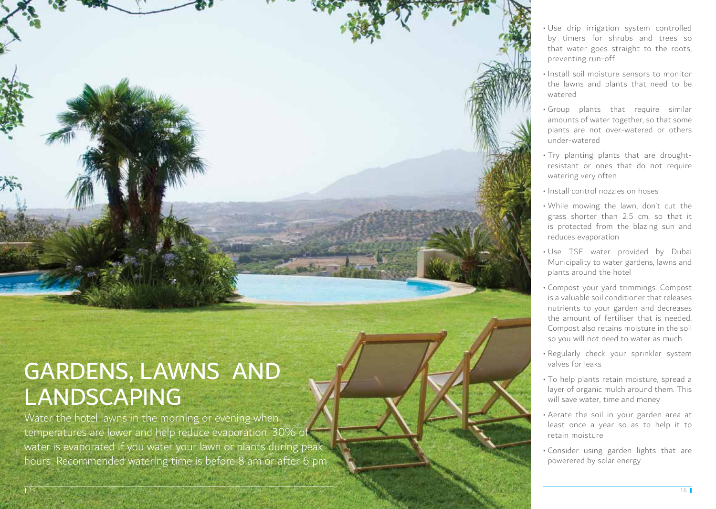![](_page_9_Picture_0.jpeg)

## GARDENS, LAWNS AND LANDSCAPING

Water the hotel lawns in the morning or evening when temperatures are lower and help reduce evaporation. 30% of water is evaporated if you water your lawn or plants during peak hours. Recommended watering time is before 8 am or after 6 pm

- Use drip irrigation system controlled by timers for shrubs and trees so that water goes straight to the roots, preventing run-off
- Install soil moisture sensors to monitor the lawns and plants that need to be watered
- Group plants that require similar amounts of water together, so that some plants are not over-watered or others under-watered
- Try planting plants that are droughtresistant or ones that do not require watering very often
- Install control nozzles on hoses
- While mowing the lawn, don't cut the grass shorter than 2.5 cm, so that it is protected from the blazing sun and reduces evaporation
- Use TSE water provided by Dubai Municipality to water gardens, lawns and plants around the hotel
- Compost your yard trimmings. Compost is a valuable soil conditioner that releases nutrients to your garden and decreases the amount of fertiliser that is needed. Compost also retains moisture in the soil so you will not need to water as much
- Regularly check your sprinkler system valves for leaks
- To help plants retain moisture, spread a layer of organic mulch around them. This will save water, time and money
- Aerate the soil in your garden area at least once a year so as to help it to retain moisture
- Consider using garden lights that are powerered by solar energy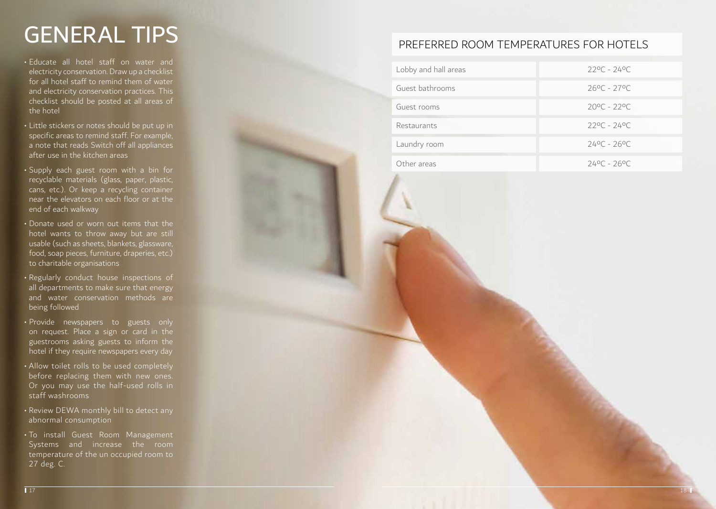## GENERAL TIPS

- Educate all hotel staff on water and electricity conservation. Draw up a checklist for all hotel staff to remind them of water and electricity conservation practices. This checklist should be posted at all areas of the hotel
- Little stickers or notes should be put up in specific areas to remind staff. For example, a note that reads Switch off all appliances after use in the kitchen areas
- Supply each guest room with a bin for recyclable materials (glass, paper, plastic, cans, etc.). Or keep a recycling container near the elevators on each floor or at the end of each walkway
- Donate used or worn out items that the hotel wants to throw away but are still usable (such as sheets, blankets, glassware, food, soap pieces, furniture, draperies, etc.) to charitable organisations
- Regularly conduct house inspections of all departments to make sure that energy and water conservation methods are being followed
- Provide newspapers to guests only on request. Place a sign or card in the guestrooms asking guests to inform the hotel if they require newspapers every day
- Allow toilet rolls to be used completely before replacing them with new ones. Or you may use the half-used rolls in staff washrooms
- Review DEWA monthly bill to detect any abnormal consumption
- To install Guest Room Management Systems and increase the room temperature of the un occupied room to 27 deg. C.

### PREFERRED ROOM TEMPERATURES FOR HOTELS

| Lobby and hall areas | $220C - 240C$         |
|----------------------|-----------------------|
| Guest bathrooms      | $260C - 270C$         |
| Guest rooms          | $200C - 220C$         |
| Restaurants          | $220C - 240C$         |
| Laundry room         | $240C - 260C$         |
| Other areas          | $24^{\circ}$ C - 26°C |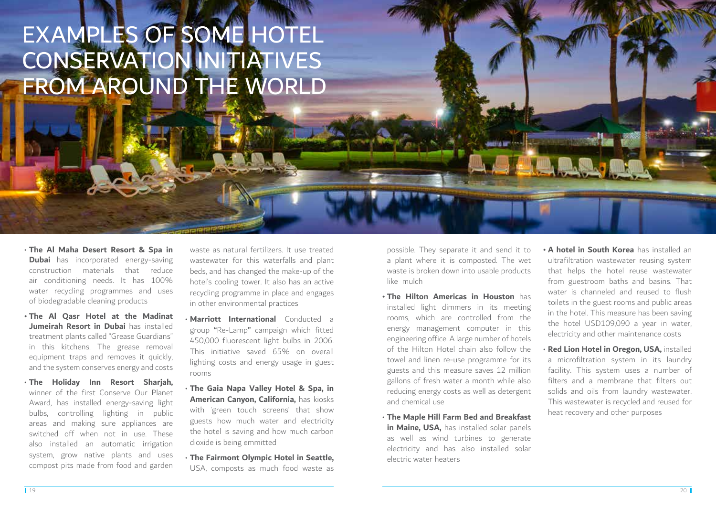# EXAMPLES OF SOME HOTEL CONSERVATION INITIATIVES FROM AROUND THE WORLD

- **The Al Maha Desert Resort & Spa in Dubai** has incorporated energy-saving construction materials that reduce air conditioning needs. It has 100% water recycling programmes and uses of biodegradable cleaning products
- **• The Al Qasr Hotel at the Madinat Jumeirah Resort in Dubai** has installed treatment plants called "Grease Guardians" in this kitchens. The grease removal equipment traps and removes it quickly, and the system conserves energy and costs
- **The Holiday Inn Resort Sharjah,**  winner of the first Conserve Our Planet Award, has installed energy-saving light bulbs, controlling lighting in public areas and making sure appliances are switched off when not in use. These also installed an automatic irrigation system, grow native plants and uses compost pits made from food and garden

waste as natural fertilizers. It use treated wastewater for this waterfalls and plant beds, and has changed the make-up of the hotel's cooling tower. It also has an active recycling programme in place and engages in other environmental practices

- **Marriott International** Conducted a group "Re-Lamp" campaign which fitted 450,000 fluorescent light bulbs in 2006. This initiative saved 65% on overall lighting costs and energy usage in guest rooms
- **The Gaia Napa Valley Hotel & Spa, in American Canyon, California,** has kiosks with 'green touch screens' that show guests how much water and electricity the hotel is saving and how much carbon dioxide is being emmitted
- **The Fairmont Olympic Hotel in Seattle,**  USA, composts as much food waste as

possible. They separate it and send it to a plant where it is composted. The wet waste is broken down into usable products like mulch

- **• The Hilton Americas in Houston** has installed light dimmers in its meeting rooms, which are controlled from the energy management computer in this engineering office. A large number of hotels of the Hilton Hotel chain also follow the towel and linen re-use programme for its guests and this measure saves 12 million gallons of fresh water a month while also reducing energy costs as well as detergent and chemical use
- **The Maple Hill Farm Bed and Breakfast**  in Maine, USA, has installed solar panels as well as wind turbines to generate electricity and has also installed solar electric water heaters
- **• A hotel in South Korea** has installed an ultrafiltration wastewater reusing system that helps the hotel reuse wastewater from guestroom baths and basins. That water is channeled and reused to flush toilets in the guest rooms and public areas in the hotel. This measure has been saving the hotel USD109,090 a year in water, electricity and other maintenance costs
- **Red Lion Hotel in Oregon, USA,** installed a microfiltration system in its laundry facility. This system uses a number of filters and a membrane that filters out solids and oils from laundry wastewater. This wastewater is recycled and reused for heat recovery and other purposes